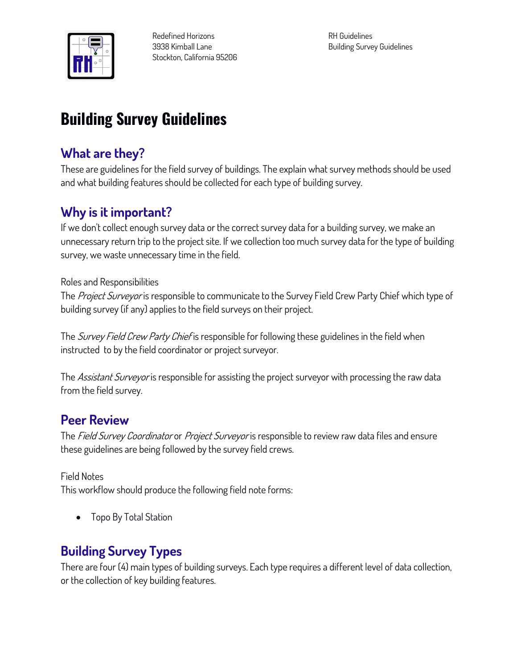

**Redefined Horizons 3938 Kimball Lane Stockton, California 95206** **RH Guidelines Building Survey Guidelines**

# **Building Survey Guidelines**

### **What are they?**

**These are guidelines for the field survey of buildings. The explain what survey methods should be used and what building features should be collected for each type of building survey.**

### **Why is it important?**

**If we don't collect enough survey data or the correct survey data for a building survey, we make an unnecessary return trip to the project site. If we collection too much survey data for the type of building survey, we waste unnecessary time in the field.** 

#### **Roles and Responsibilities**

**The Project Surveyor is responsible to communicate to the Survey Field Crew Party Chief which type of building survey (if any) applies to the field surveys on their project.**

**The Survey Field Crew Party Chief is responsible for following these guidelines in the field when instructed to by the field coordinator or project surveyor.**

**The Assistant Surveyor is responsible for assisting the project surveyor with processing the raw data from the field survey.**

### **Peer Review**

**The Field Survey Coordinator or Project Surveyor is responsible to review raw data files and ensure these guidelines are being followed by the survey field crews.** 

#### **Field Notes**

**This workflow should produce the following field note forms:**

• **Topo By Total Station**

### **Building Survey Types**

**There are four (4) main types of building surveys. Each type requires a different level of data collection, or the collection of key building features.**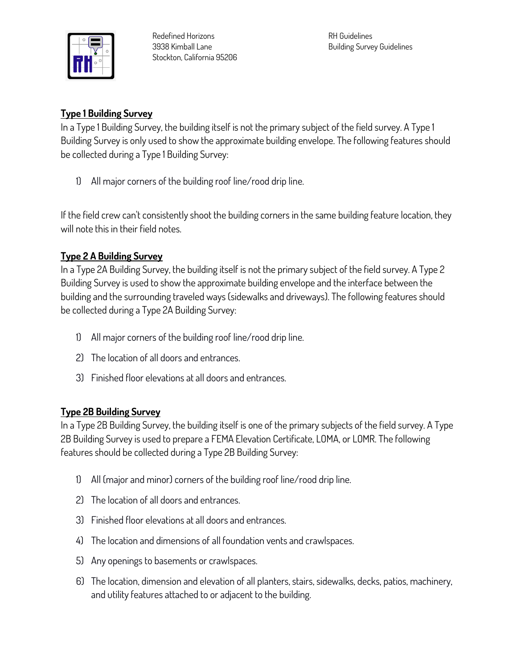

**Redefined Horizons 3938 Kimball Lane Stockton, California 95206** **RH Guidelines Building Survey Guidelines**

#### **Type 1 Building Survey**

**In a Type 1 Building Survey, the building itself is not the primary subject of the field survey. A Type 1 Building Survey is only used to show the approximate building envelope. The following features should be collected during a Type 1 Building Survey:**

**1) All major corners of the building roof line/rood drip line.**

**If the field crew can't consistently shoot the building corners in the same building feature location, they will note this in their field notes.**

#### **Type 2 A Building Survey**

**In a Type 2A Building Survey, the building itself is not the primary subject of the field survey. A Type 2 Building Survey is used to show the approximate building envelope and the interface between the building and the surrounding traveled ways (sidewalks and driveways). The following features should be collected during a Type 2A Building Survey:**

- **1) All major corners of the building roof line/rood drip line.**
- **2) The location of all doors and entrances.**
- **3) Finished floor elevations at all doors and entrances.**

#### **Type 2B Building Survey**

**In a Type 2B Building Survey, the building itself is one of the primary subjects of the field survey. A Type 2B Building Survey is used to prepare a FEMA Elevation Certificate, LOMA, or LOMR. The following features should be collected during a Type 2B Building Survey:**

- **1) All (major and minor) corners of the building roof line/rood drip line.**
- **2) The location of all doors and entrances.**
- **3) Finished floor elevations at all doors and entrances.**
- **4) The location and dimensions of all foundation vents and crawlspaces.**
- **5) Any openings to basements or crawlspaces.**
- **6) The location, dimension and elevation of all planters, stairs, sidewalks, decks, patios, machinery, and utility features attached to or adjacent to the building.**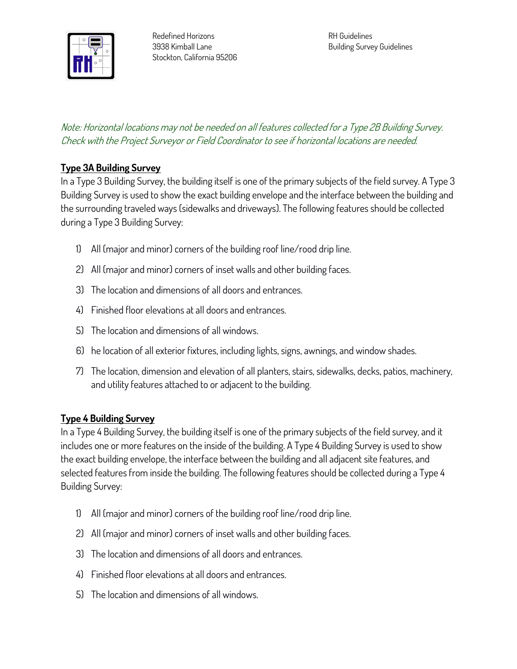

#### **Note: Horizontal locations may not be needed on all features collected for a Type 2B Building Survey. Check with the Project Surveyor or Field Coordinator to see if horizontal locations are needed.**

#### **Type 3A Building Survey**

**In a Type 3 Building Survey, the building itself is one of the primary subjects of the field survey. A Type 3 Building Survey is used to show the exact building envelope and the interface between the building and the surrounding traveled ways (sidewalks and driveways). The following features should be collected during a Type 3 Building Survey:**

- **1) All (major and minor) corners of the building roof line/rood drip line.**
- **2) All (major and minor) corners of inset walls and other building faces.**
- **3) The location and dimensions of all doors and entrances.**
- **4) Finished floor elevations at all doors and entrances.**
- **5) The location and dimensions of all windows.**
- **6) he location of all exterior fixtures, including lights, signs, awnings, and window shades.**
- **7) The location, dimension and elevation of all planters, stairs, sidewalks, decks, patios, machinery, and utility features attached to or adjacent to the building.**

#### **Type 4 Building Survey**

**In a Type 4 Building Survey, the building itself is one of the primary subjects of the field survey, and it includes one or more features on the inside of the building. A Type 4 Building Survey is used to show the exact building envelope, the interface between the building and all adjacent site features, and selected features from inside the building. The following features should be collected during a Type 4 Building Survey:**

- **1) All (major and minor) corners of the building roof line/rood drip line.**
- **2) All (major and minor) corners of inset walls and other building faces.**
- **3) The location and dimensions of all doors and entrances.**
- **4) Finished floor elevations at all doors and entrances.**
- **5) The location and dimensions of all windows.**